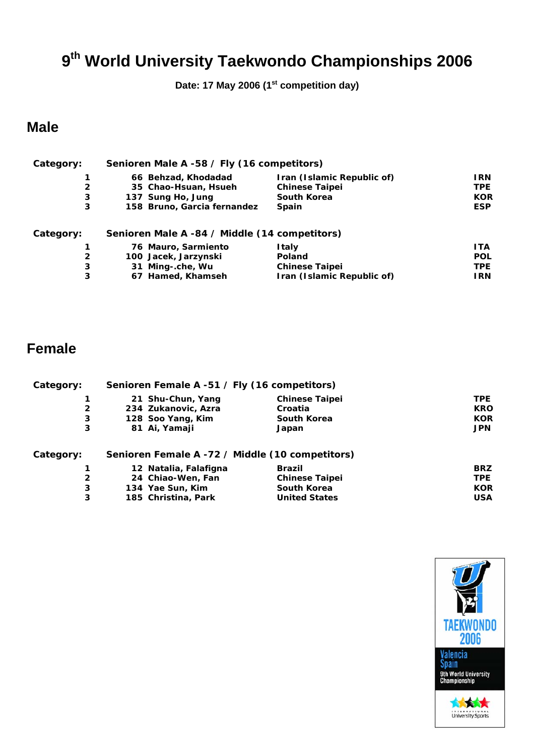**Date: 17 May 2006 (1st competition day)** 

#### **Male**

| Category:      | Senioren Male A -58 / Fly (16 competitors)    |                            |            |
|----------------|-----------------------------------------------|----------------------------|------------|
|                | 66 Behzad, Khodadad                           | Iran (Islamic Republic of) | I RN       |
| $\overline{2}$ | 35 Chao-Hsuan, Hsueh                          | <b>Chinese Taipei</b>      | <b>TPE</b> |
| 3              | 137 Sung Ho, Jung                             | South Korea                | <b>KOR</b> |
| 3              | 158 Bruno, Garcia fernandez                   | <b>Spain</b>               | <b>ESP</b> |
| Category:      | Senioren Male A -84 / Middle (14 competitors) |                            |            |
|                | 76 Mauro, Sarmiento                           | Italy                      | <b>ITA</b> |
| 2              | 100 Jacek, Jarzynski                          | Poland                     | <b>POL</b> |
| 3              | 31 Ming-.che, Wu                              | <b>Chinese Taipei</b>      | <b>TPE</b> |
| 3              | 67 Hamed, Khamseh                             | Iran (Islamic Republic of) | I RN       |

| Category:      | Senioren Female A -51 / Fly (16 competitors)    |                       |            |
|----------------|-------------------------------------------------|-----------------------|------------|
|                | 21 Shu-Chun, Yang                               | <b>Chinese Taipei</b> | <b>TPE</b> |
| $\overline{2}$ | 234 Zukanovic, Azra                             | Croatia               | <b>KRO</b> |
| 3              | 128 Soo Yang, Kim                               | <b>South Korea</b>    | <b>KOR</b> |
| 3              | 81 Ai, Yamaji                                   | Japan                 | <b>JPN</b> |
| Category:      | Senioren Female A -72 / Middle (10 competitors) |                       |            |
|                | 12 Natalia, Falafigna                           | <b>Brazil</b>         | <b>BRZ</b> |
| $\mathbf{2}$   | 24 Chiao-Wen, Fan                               | <b>Chinese Taipei</b> | <b>TPE</b> |
| 3              | 134 Yae Sun, Kim                                | <b>South Korea</b>    | <b>KOR</b> |
| 3              | 185 Christina, Park                             | <b>United States</b>  | <b>USA</b> |

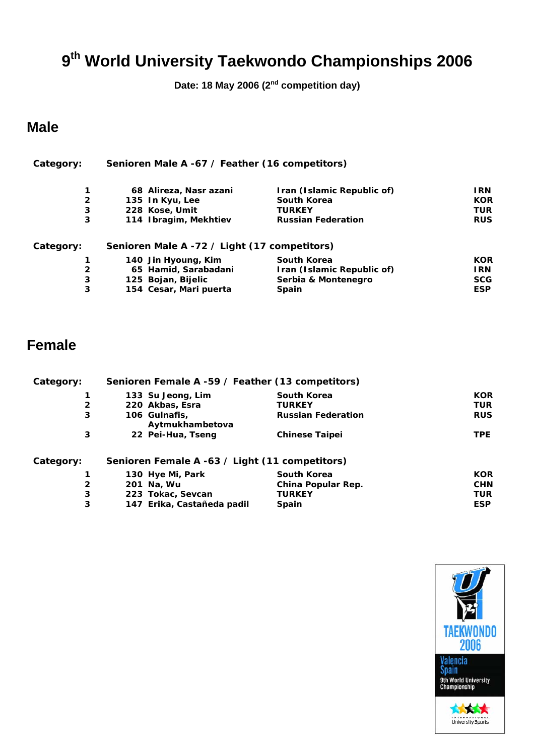**Date: 18 May 2006 (2nd competition day)** 

### **Male**

| Category:      | Senioren Male A -67 / Feather (16 competitors) |                            |            |
|----------------|------------------------------------------------|----------------------------|------------|
| 1              | 68 Alireza, Nasr azani                         | Iran (Islamic Republic of) | I RN       |
| $\overline{2}$ | 135 In Kyu, Lee                                | South Korea                | <b>KOR</b> |
| 3              | 228 Kose, Umit                                 | <b>TURKEY</b>              | <b>TUR</b> |
| 3              | 114 Ibragim, Mekhtiev                          | <b>Russian Federation</b>  | <b>RUS</b> |
| Category:      | Senioren Male A -72 / Light (17 competitors)   |                            |            |
|                | 140 Jin Hyoung, Kim                            | South Korea                | <b>KOR</b> |
| $\mathbf{2}$   | 65 Hamid, Sarabadani                           | Iran (Islamic Republic of) | I RN       |
| 3              | 125 Bojan, Bijelic                             | Serbia & Montenegro        | <b>SCG</b> |
| 3              | 154 Cesar, Mari puerta                         | <b>Spain</b>               | <b>ESP</b> |

| Category:    | Senioren Female A -59 / Feather (13 competitors) |                           |            |
|--------------|--------------------------------------------------|---------------------------|------------|
|              | 133 Su Jeong, Lim                                | <b>South Korea</b>        | <b>KOR</b> |
| $\mathbf{2}$ | 220 Akbas, Esra                                  | <b>TURKEY</b>             | TUR        |
| 3            | 106 Gulnafis,<br>Aytmukhambetova                 | <b>Russian Federation</b> | <b>RUS</b> |
| 3            | 22 Pei-Hua, Tseng                                | <b>Chinese Taipei</b>     | TPE.       |
| Category:    | Senioren Female A -63 / Light (11 competitors)   |                           |            |
|              | 130 Hye Mi, Park                                 | South Korea               | <b>KOR</b> |
| $\mathbf{2}$ | 201 Na, Wu                                       | China Popular Rep.        | <b>CHN</b> |
| 3            | 223 Tokac, Sevcan                                | <b>TURKEY</b>             | <b>TUR</b> |
| 3            | 147 Erika, Castañeda padil                       | <b>Spain</b>              | <b>ESP</b> |

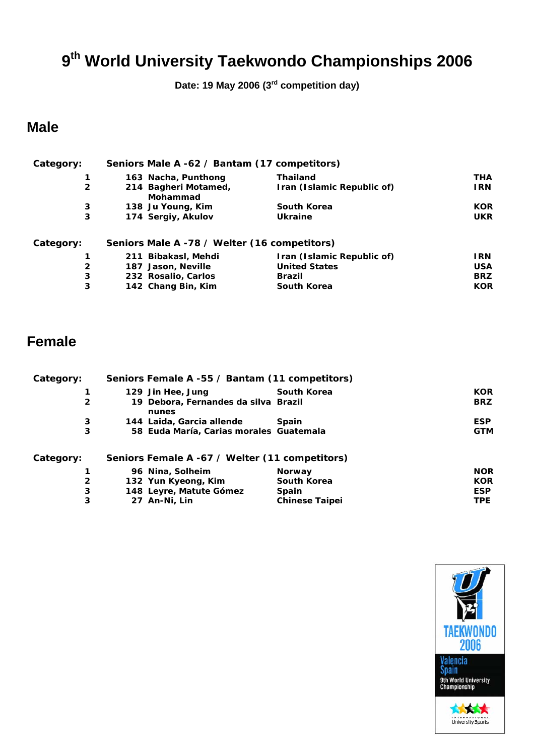**Date: 19 May 2006 (3rd competition day)** 

### **Male**

| Category:      | Seniors Male A -62 / Bantam (17 competitors) |                            |            |
|----------------|----------------------------------------------|----------------------------|------------|
|                | 163 Nacha, Punthong                          | <b>Thailand</b>            | THA        |
| $\overline{2}$ | 214 Bagheri Motamed,<br>Mohammad             | Iran (Islamic Republic of) | <b>IRN</b> |
| 3              | 138 Ju Young, Kim                            | South Korea                | <b>KOR</b> |
| 3              | 174 Sergiy, Akulov                           | Ukraine                    | <b>UKR</b> |
| Category:      | Seniors Male A -78 / Welter (16 competitors) |                            |            |
|                | 211 Bibakasl, Mehdi                          | Iran (Islamic Republic of) | I RN       |
| $\mathbf{2}$   | 187 Jason, Neville                           | <b>United States</b>       | <b>USA</b> |
| 3              | 232 Rosalio, Carlos                          | <b>Brazil</b>              | <b>BRZ</b> |
| 3              | 142 Chang Bin, Kim                           | <b>South Korea</b>         | <b>KOR</b> |

| Category:      | Seniors Female A -55 / Bantam (11 competitors) |                       |            |
|----------------|------------------------------------------------|-----------------------|------------|
|                | 129 Jin Hee, Jung                              | <b>South Korea</b>    | <b>KOR</b> |
| $\overline{2}$ | 19 Debora, Fernandes da silva Brazil<br>nunes  |                       | <b>BRZ</b> |
| 3              | 144 Laida, Garcia allende                      | <b>Spain</b>          | <b>ESP</b> |
| 3              | 58 Euda María, Carias morales Guatemala        |                       | <b>GTM</b> |
| Category:      | Seniors Female A -67 / Welter (11 competitors) |                       |            |
|                | 96 Nina, Solheim                               | <b>Norway</b>         | <b>NOR</b> |
| $\overline{2}$ | 132 Yun Kyeong, Kim                            | <b>South Korea</b>    | <b>KOR</b> |
| 3              | 148 Leyre, Matute Gómez                        | <b>Spain</b>          | <b>ESP</b> |
| 3              | 27 An-Ni, Lin                                  | <b>Chinese Taipei</b> | <b>TPE</b> |